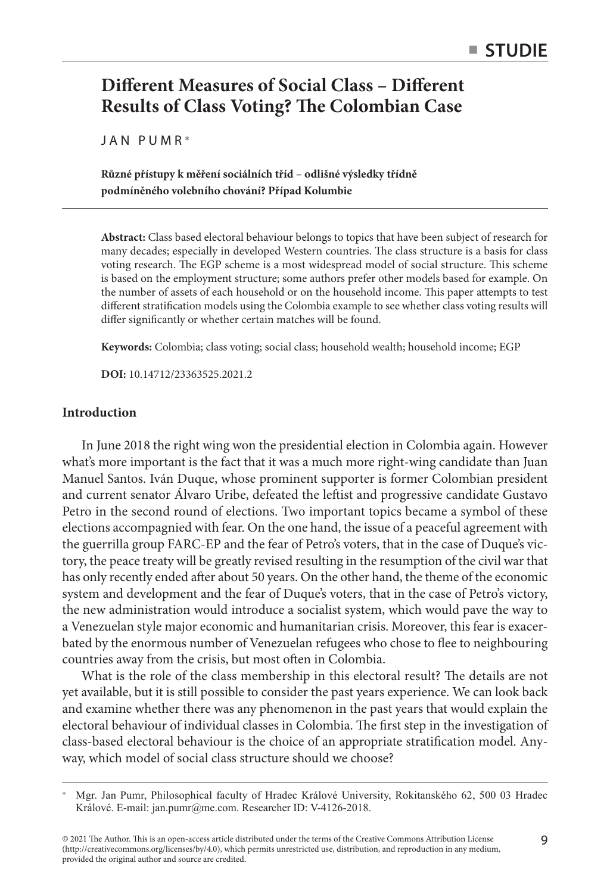# **Different Measures of Social Class – Different Results of Class Voting? The Colombian Case**

JAN PUMR\*

**Různé přístupy k měření sociálních tříd – odlišné výsledky třídně podmíněného volebního chování? Případ Kolumbie**

**Abstract:** Class based electoral behaviour belongs to topics that have been subject of research for many decades; especially in developed Western countries. The class structure is a basis for class voting research. The EGP scheme is a most widespread model of social structure. This scheme is based on the employment structure; some authors prefer other models based for example. On the number of assets of each household or on the household income. This paper attempts to test different stratification models using the Colombia example to see whether class voting results will differ significantly or whether certain matches will be found.

**Keywords:** Colombia; class voting; social class; household wealth; household income; EGP

**DOI:** 10.14712/23363525.2021.2

# **Introduction**

In June 2018 the right wing won the presidential election in Colombia again. However what's more important is the fact that it was a much more right-wing candidate than Juan Manuel Santos. Iván Duque, whose prominent supporter is former Colombian president and current senator Álvaro Uribe, defeated the leftist and progressive candidate Gustavo Petro in the second round of elections. Two important topics became a symbol of these elections accompagnied with fear. On the one hand, the issue of a peaceful agreement with the guerrilla group FARC-EP and the fear of Petro's voters, that in the case of Duque's victory, the peace treaty will be greatly revised resulting in the resumption of the civil war that has only recently ended after about 50 years. On the other hand, the theme of the economic system and development and the fear of Duque's voters, that in the case of Petro's victory, the new administration would introduce a socialist system, which would pave the way to a Venezuelan style major economic and humanitarian crisis. Moreover, this fear is exacerbated by the enormous number of Venezuelan refugees who chose to flee to neighbouring countries away from the crisis, but most often in Colombia.

What is the role of the class membership in this electoral result? The details are not yet available, but it is still possible to consider the past years experience. We can look back and examine whether there was any phenomenon in the past years that would explain the electoral behaviour of individual classes in Colombia. The first step in the investigation of class-based electoral behaviour is the choice of an appropriate stratification model. Anyway, which model of social class structure should we choose?

<sup>\*</sup> Mgr. Jan Pumr, Philosophical faculty of Hradec Králové University, Rokitanského 62, 500 03 Hradec Králové. E-mail: jan.pumr@me.com. Researcher ID: V-4126-2018.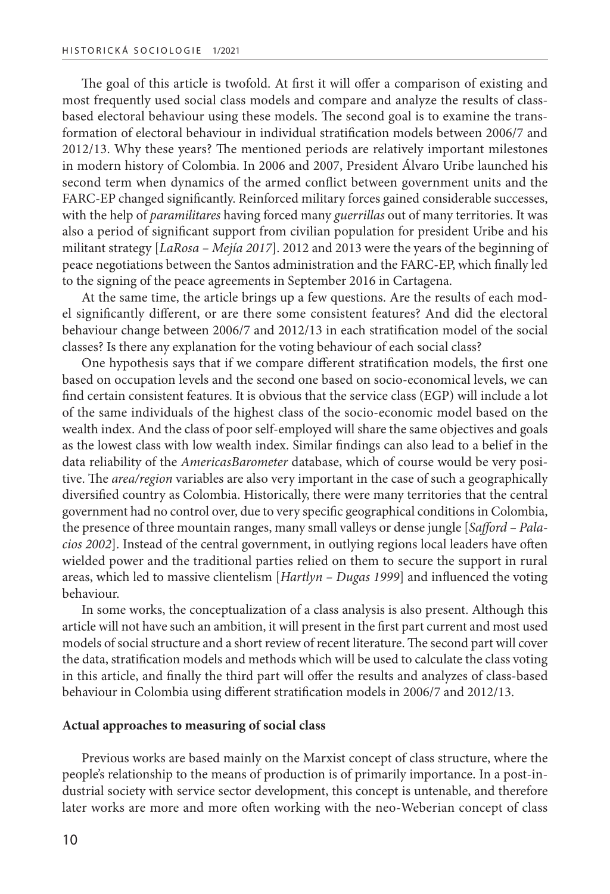The goal of this article is twofold. At first it will offer a comparison of existing and most frequently used social class models and compare and analyze the results of classbased electoral behaviour using these models. The second goal is to examine the transformation of electoral behaviour in individual stratification models between 2006/7 and 2012/13. Why these years? The mentioned periods are relatively important milestones in modern history of Colombia. In 2006 and 2007, President Álvaro Uribe launched his second term when dynamics of the armed conflict between government units and the FARC-EP changed significantly. Reinforced military forces gained considerable successes, with the help of *paramilitares* having forced many *guerrillas* out of many territories. It was also a period of significant support from civilian population for president Uribe and his militant strategy [*LaRosa – Mejía 2017*]. 2012 and 2013 were the years of the beginning of peace negotiations between the Santos administration and the FARC-EP, which finally led to the signing of the peace agreements in September 2016 in Cartagena.

At the same time, the article brings up a few questions. Are the results of each model significantly different, or are there some consistent features? And did the electoral behaviour change between 2006/7 and 2012/13 in each stratification model of the social classes? Is there any explanation for the voting behaviour of each social class?

One hypothesis says that if we compare different stratification models, the first one based on occupation levels and the second one based on socio-economical levels, we can find certain consistent features. It is obvious that the service class (EGP) will include a lot of the same individuals of the highest class of the socio-economic model based on the wealth index. And the class of poor self-employed will share the same objectives and goals as the lowest class with low wealth index. Similar findings can also lead to a belief in the data reliability of the *AmericasBarometer* database, which of course would be very positive. The *area/region* variables are also very important in the case of such a geographically diversified country as Colombia. Historically, there were many territories that the central government had no control over, due to very specific geographical conditions in Colombia, the presence of three mountain ranges, many small valleys or dense jungle [*Safford – Palacios 2002*]. Instead of the central government, in outlying regions local leaders have often wielded power and the traditional parties relied on them to secure the support in rural areas, which led to massive clientelism [*Hartlyn – Dugas 1999*] and influenced the voting behaviour.

In some works, the conceptualization of a class analysis is also present. Although this article will not have such an ambition, it will present in the first part current and most used models of social structure and a short review of recent literature. The second part will cover the data, stratification models and methods which will be used to calculate the class voting in this article, and finally the third part will offer the results and analyzes of class-based behaviour in Colombia using different stratification models in 2006/7 and 2012/13.

### **Actual approaches to measuring of social class**

Previous works are based mainly on the Marxist concept of class structure, where the people's relationship to the means of production is of primarily importance. In a post-industrial society with service sector development, this concept is untenable, and therefore later works are more and more often working with the neo-Weberian concept of class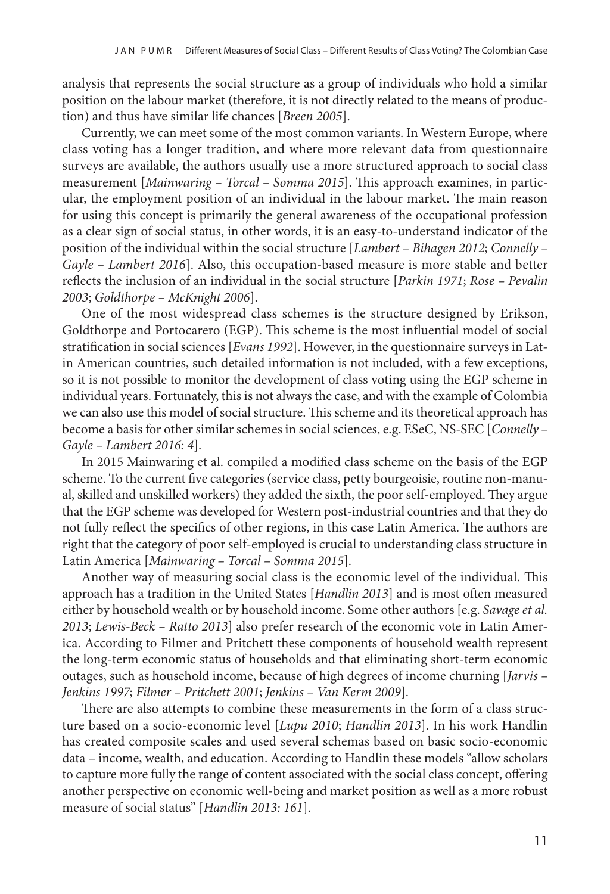analysis that represents the social structure as a group of individuals who hold a similar position on the labour market (therefore, it is not directly related to the means of production) and thus have similar life chances [*Breen 2005*].

Currently, we can meet some of the most common variants. In Western Europe, where class voting has a longer tradition, and where more relevant data from questionnaire surveys are available, the authors usually use a more structured approach to social class measurement [*Mainwaring – Torcal – Somma 2015*]. This approach examines, in particular, the employment position of an individual in the labour market. The main reason for using this concept is primarily the general awareness of the occupational profession as a clear sign of social status, in other words, it is an easy-to-understand indicator of the position of the individual within the social structure [*Lambert – Bihagen 2012*; *Connelly – Gayle – Lambert 2016*]. Also, this occupation-based measure is more stable and better reflects the inclusion of an individual in the social structure [*Parkin 1971*; *Rose – Pevalin 2003*; *Goldthorpe – McKnight 2006*].

One of the most widespread class schemes is the structure designed by Erikson, Goldthorpe and Portocarero (EGP). This scheme is the most influential model of social stratification in social sciences [*Evans 1992*]. However, in the questionnaire surveys in Latin American countries, such detailed information is not included, with a few exceptions, so it is not possible to monitor the development of class voting using the EGP scheme in individual years. Fortunately, this is not always the case, and with the example of Colombia we can also use this model of social structure. This scheme and its theoretical approach has become a basis for other similar schemes in social sciences, e.g. ESeC, NS-SEC [*Connelly – Gayle – Lambert 2016: 4*].

In 2015 Mainwaring et al. compiled a modified class scheme on the basis of the EGP scheme. To the current five categories (service class, petty bourgeoisie, routine non-manual, skilled and unskilled workers) they added the sixth, the poor self-employed. They argue that the EGP scheme was developed for Western post-industrial countries and that they do not fully reflect the specifics of other regions, in this case Latin America. The authors are right that the category of poor self-employed is crucial to understanding class structure in Latin America [*Mainwaring – Torcal – Somma 2015*].

Another way of measuring social class is the economic level of the individual. This approach has a tradition in the United States [*Handlin 2013*] and is most often measured either by household wealth or by household income. Some other authors [e.g. *Savage et al. 2013*; *Lewis-Beck – Ratto 2013*] also prefer research of the economic vote in Latin America. According to Filmer and Pritchett these components of household wealth represent the long-term economic status of households and that eliminating short-term economic outages, such as household income, because of high degrees of income churning [*Jarvis – Jenkins 1997*; *Filmer – Pritchett 2001*; *Jenkins – Van Kerm 2009*].

There are also attempts to combine these measurements in the form of a class structure based on a socio-economic level [*Lupu 2010*; *Handlin 2013*]. In his work Handlin has created composite scales and used several schemas based on basic socio-economic data – income, wealth, and education. According to Handlin these models "allow scholars to capture more fully the range of content associated with the social class concept, offering another perspective on economic well-being and market position as well as a more robust measure of social status" [*Handlin 2013: 161*].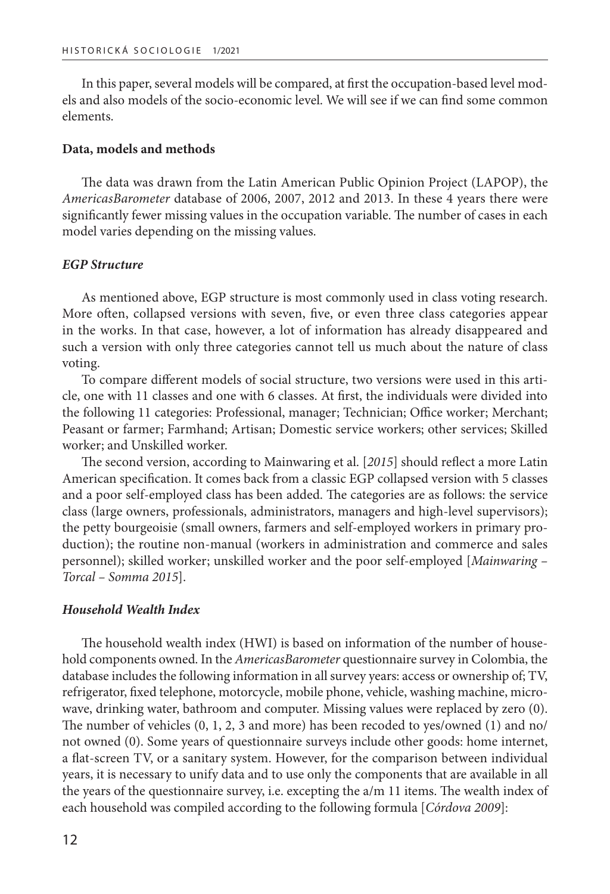In this paper, several models will be compared, at first the occupation-based level models and also models of the socio-economic level. We will see if we can find some common elements.

#### **Data, models and methods**

The data was drawn from the Latin American Public Opinion Project (LAPOP), the *AmericasBarometer* database of 2006, 2007, 2012 and 2013. In these 4 years there were significantly fewer missing values in the occupation variable. The number of cases in each model varies depending on the missing values.

#### *EGP Structure*

As mentioned above, EGP structure is most commonly used in class voting research. More often, collapsed versions with seven, five, or even three class categories appear in the works. In that case, however, a lot of information has already disappeared and such a version with only three categories cannot tell us much about the nature of class voting.

To compare different models of social structure, two versions were used in this article, one with 11 classes and one with 6 classes. At first, the individuals were divided into the following 11 categories: Professional, manager; Technician; Office worker; Merchant; Peasant or farmer; Farmhand; Artisan; Domestic service workers; other services; Skilled worker; and Unskilled worker.

The second version, according to Mainwaring et al. [*2015*] should reflect a more Latin American specification. It comes back from a classic EGP collapsed version with 5 classes and a poor self-employed class has been added. The categories are as follows: the service class (large owners, professionals, administrators, managers and high-level supervisors); the petty bourgeoisie (small owners, farmers and self-employed workers in primary production); the routine non-manual (workers in administration and commerce and sales personnel); skilled worker; unskilled worker and the poor self-employed [*Mainwaring – Torcal – Somma 2015*].

# *Household Wealth Index*

The household wealth index (HWI) is based on information of the number of household components owned. In the *AmericasBarometer* questionnaire survey in Colombia, the database includes the following information in all survey years: access or ownership of; TV, refrigerator, fixed telephone, motorcycle, mobile phone, vehicle, washing machine, microwave, drinking water, bathroom and computer. Missing values were replaced by zero (0). The number of vehicles (0, 1, 2, 3 and more) has been recoded to yes/owned (1) and no/ not owned (0). Some years of questionnaire surveys include other goods: home internet, a flat-screen TV, or a sanitary system. However, for the comparison between individual years, it is necessary to unify data and to use only the components that are available in all the years of the questionnaire survey, i.e. excepting the a/m 11 items. The wealth index of each household was compiled according to the following formula [*Córdova 2009*]: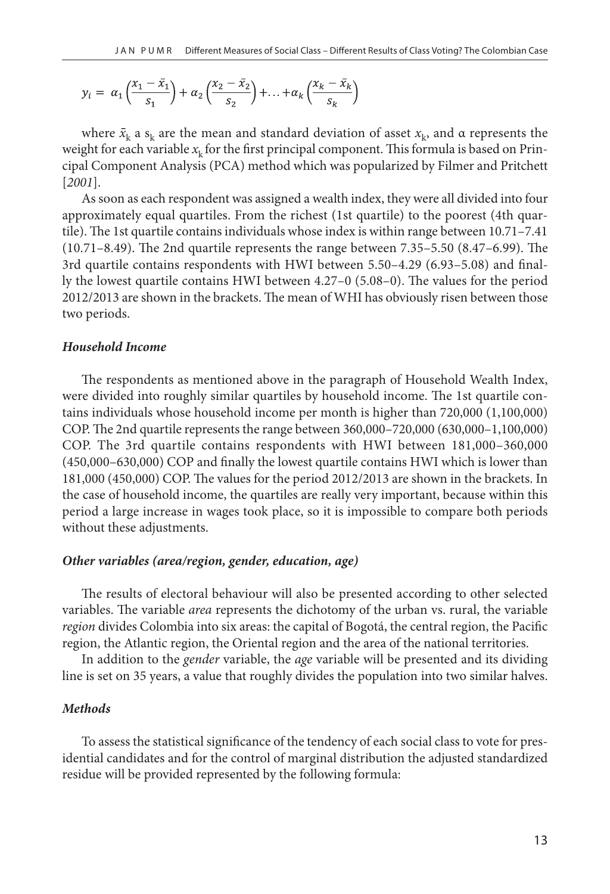$$
y_i = \alpha_1 \left( \frac{x_1 - \bar{x}_1}{s_1} \right) + \alpha_2 \left( \frac{x_2 - \bar{x}_2}{s_2} \right) + \ldots + \alpha_k \left( \frac{x_k - \bar{x}_k}{s_k} \right)
$$

where  $\bar{x}_{\rm k}$  a  ${\rm s}_{\rm k}$  are the mean and standard deviation of asset  $x_{\rm k}$ , and  $\alpha$  represents the weight for each variable  $x_k$  for the first principal component. This formula is based on Principal Component Analysis (PCA) method which was popularized by Filmer and Pritchett [*2001*].

As soon as each respondent was assigned a wealth index, they were all divided into four approximately equal quartiles. From the richest (1st quartile) to the poorest (4th quartile). The 1st quartile contains individuals whose index is within range between 10.71–7.41 (10.71–8.49). The 2nd quartile represents the range between 7.35–5.50 (8.47–6.99). The 3rd quartile contains respondents with HWI between 5.50–4.29 (6.93–5.08) and finally the lowest quartile contains HWI between 4.27–0 (5.08–0). The values for the period 2012/2013 are shown in the brackets. The mean of WHI has obviously risen between those two periods.

# *Household Income*

The respondents as mentioned above in the paragraph of Household Wealth Index, were divided into roughly similar quartiles by household income. The 1st quartile contains individuals whose household income per month is higher than 720,000 (1,100,000) COP. The 2nd quartile represents the range between 360,000–720,000 (630,000–1,100,000) COP. The 3rd quartile contains respondents with HWI between 181,000–360,000 (450,000–630,000) COP and finally the lowest quartile contains HWI which is lower than 181,000 (450,000) COP. The values for the period 2012/2013 are shown in the brackets. In the case of household income, the quartiles are really very important, because within this period a large increase in wages took place, so it is impossible to compare both periods without these adjustments.

#### *Other variables (area/region, gender, education, age)*

The results of electoral behaviour will also be presented according to other selected variables. The variable *area* represents the dichotomy of the urban vs. rural, the variable *region* divides Colombia into six areas: the capital of Bogotá, the central region, the Pacific region, the Atlantic region, the Oriental region and the area of the national territories.

In addition to the *gender* variable, the *age* variable will be presented and its dividing line is set on 35 years, a value that roughly divides the population into two similar halves.

# *Methods*

To assess the statistical significance of the tendency of each social class to vote for presidential candidates and for the control of marginal distribution the adjusted standardized residue will be provided represented by the following formula: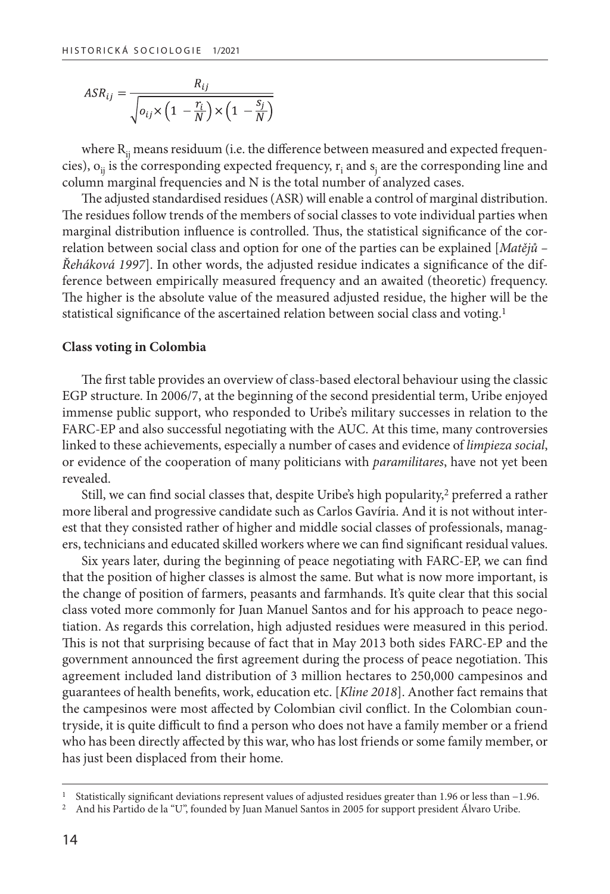$$
ASR_{ij} = \frac{R_{ij}}{\sqrt{o_{ij} \times \left(1 - \frac{r_i}{N}\right) \times \left(1 - \frac{s_j}{N}\right)}}
$$

where  $R_{ii}$  means residuum (i.e. the difference between measured and expected frequencies),  $o_{ij}$  is the corresponding expected frequency,  $r_i$  and  $s_j$  are the corresponding line and column marginal frequencies and N is the total number of analyzed cases.

The adjusted standardised residues (ASR) will enable a control of marginal distribution. The residues follow trends of the members of social classes to vote individual parties when marginal distribution influence is controlled. Thus, the statistical significance of the correlation between social class and option for one of the parties can be explained [*Matějů – Řeháková 1997*]. In other words, the adjusted residue indicates a significance of the difference between empirically measured frequency and an awaited (theoretic) frequency. The higher is the absolute value of the measured adjusted residue, the higher will be the statistical significance of the ascertained relation between social class and voting.1

#### **Class voting in Colombia**

The first table provides an overview of class-based electoral behaviour using the classic EGP structure. In 2006/7, at the beginning of the second presidential term, Uribe enjoyed immense public support, who responded to Uribe's military successes in relation to the FARC-EP and also successful negotiating with the AUC. At this time, many controversies linked to these achievements, especially a number of cases and evidence of *limpieza social*, or evidence of the cooperation of many politicians with *paramilitares*, have not yet been revealed.

Still, we can find social classes that, despite Uribe's high popularity, $\frac{2}{3}$  preferred a rather more liberal and progressive candidate such as Carlos Gavíria. And it is not without interest that they consisted rather of higher and middle social classes of professionals, managers, technicians and educated skilled workers where we can find significant residual values.

Six years later, during the beginning of peace negotiating with FARC-EP, we can find that the position of higher classes is almost the same. But what is now more important, is the change of position of farmers, peasants and farmhands. It's quite clear that this social class voted more commonly for Juan Manuel Santos and for his approach to peace negotiation. As regards this correlation, high adjusted residues were measured in this period. This is not that surprising because of fact that in May 2013 both sides FARC-EP and the government announced the first agreement during the process of peace negotiation. This agreement included land distribution of 3 million hectares to 250,000 campesinos and guarantees of health benefits, work, education etc. [*Kline 2018*]. Another fact remains that the campesinos were most affected by Colombian civil conflict. In the Colombian countryside, it is quite difficult to find a person who does not have a family member or a friend who has been directly affected by this war, who has lost friends or some family member, or has just been displaced from their home.

<sup>1</sup> Statistically significant deviations represent values of adjusted residues greater than 1.96 or less than −1.96.

<sup>2</sup> And his Partido de la "U", founded by Juan Manuel Santos in 2005 for support president Álvaro Uribe.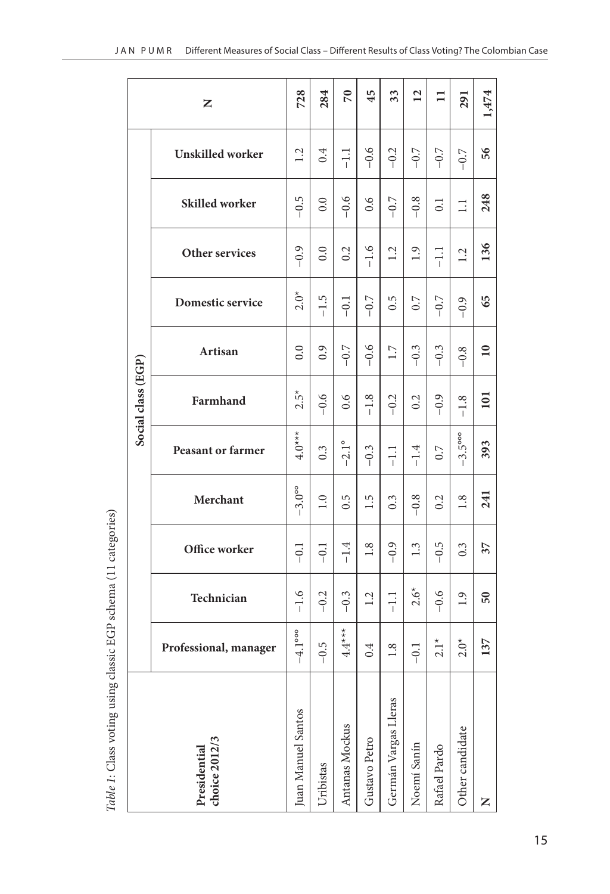|                               | z                        | 728                      | 284       | $\sqrt{2}$     | 45            | 33                   | 12          | $\Box$         | 291                      | 1,474           |
|-------------------------------|--------------------------|--------------------------|-----------|----------------|---------------|----------------------|-------------|----------------|--------------------------|-----------------|
|                               | <b>Unskilled</b> worker  | 1.2                      | 0.4       | $\Xi$          | $-0.6$        | $-0.2$               | $-0.7$      | $-0.7$         | $-0.7$                   | 56              |
|                               | <b>Skilled</b> worker    | $-0.5$                   | 0.0       | $-0.6$         | 0.6           | $-0.7$               | $-0.8$      | $\overline{0}$ | $\Box$                   | 248             |
|                               | Other services           | $-0.9$                   | 0.0       | 0.2            | $-1.6$        | 1.2                  | 1.9         | $-1.1$         | 1.2                      | 136             |
| Social class (EGP)            | Domestic service         | $2.0*$                   | $-1.5$    | $-0.1$         | $-0.7$        | 0.5                  | 0.7         | $-0.7$         | $-0.9$                   | 65              |
|                               | Artisan                  | 0.0                      | 0.9       | $-0.7$         | $-0.6$        | 1.7                  | $-0.3$      | $-0.3$         | $-0.8$                   | $\overline{10}$ |
|                               | Farmhand                 | $2.5*$                   | $-0.6$    | 0.6            | $-1.8$        | $-0.2$               | 0.2         | $-0.9$         | $-1.8$                   | 101             |
|                               | <b>Peasant or farmer</b> | $4.0**$                  | 0.3       | $-2.1^{\circ}$ | $-0.3$        | 류                    | $-1.4$      | 0.7            | $-3.5^{\circ\circ\circ}$ | 393             |
|                               | Merchant                 | $-3.0^\circ$             | 1.0       | 0.5            | 1.5           | $0.\overline{3}$     | $-0.8$      | 0.2            | 1.8                      | 241             |
|                               | Office worker            | $-0.1$                   | $-0.1$    | $-1.4$         | 1.8           | $-0.9$               | 1.3         | $-0.5$         | $0.\overline{3}$         | 37              |
|                               | Technician               | $-1.6$                   | $-0.2$    | $-0.3$         | 1.2           | $\Xi$                | $2.6*$      | $-0.6$         | 1.9                      | $50\,$          |
|                               | Professional, manager    | $-4.1^{\circ\circ\circ}$ | $-0.5$    | $4.4***$       | 0.4           | $1.8\,$              | $-0.1$      | $2.1*$         | $2.0*$                   | 137             |
| choice 2012/3<br>Presidential |                          | Juan Manuel Santos       | Uribistas | Antanas Mockus | Gustavo Petro | Germán Vargas Lleras | Noemí Sanín | Rafael Pardo   | Other candidate          | Z               |

Table 1: Class voting using classic EGP schema (11 categories) *Table 1*: Class voting using classic EGP schema (11 categories)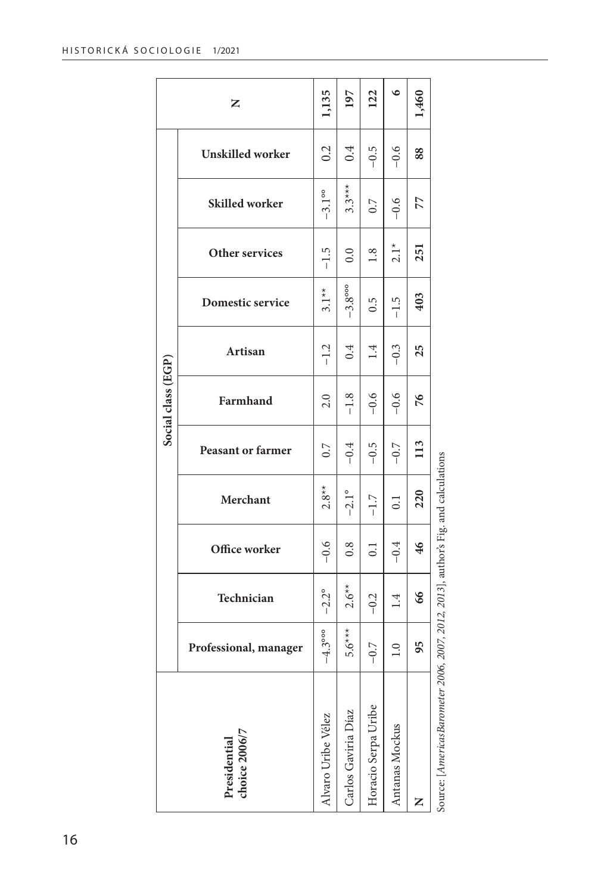|                    | Z                             | 1,135                    | 197                      | 122                 | ৩                | 1,460 |                                                         |
|--------------------|-------------------------------|--------------------------|--------------------------|---------------------|------------------|-------|---------------------------------------------------------|
|                    | Unskilled worker              | 0.2                      | 0.4                      | $-0.5$              | $-0.6$           | 88    |                                                         |
|                    | Skilled worker                | $-3.1$ <sup>oo</sup>     | $3.3***$                 | 0.7                 | $-0.6$           | 77    |                                                         |
|                    | Other services                | $-1.5$                   | 0.0                      | 1.8                 | $2.1*$           | 251   |                                                         |
| Social class (EGP) | Domestic service              | $3.1**$                  | $-3.8^{\circ\circ\circ}$ | 0.5                 | $-1.5$           | 403   |                                                         |
|                    | Artisan                       | $-1.2$                   | 0.4                      | 1.4                 | $-0.3$           | 25    |                                                         |
|                    | Farmhand                      | 2.0                      | $-1.8$                   | $-0.6$              | $-0.6$           | 76    |                                                         |
|                    | Peasant or farmer             | 0.7                      | $-0.4$                   | $-0.5$              | $-0.7$           | 113   |                                                         |
|                    | Merchant                      | $2.8**$                  | $-2.1^{\circ}$           | $-1.7$              | $\overline{0.1}$ | 220   |                                                         |
|                    | Office worker                 | $-0.6$                   | 0.8                      | 0.1                 | $-0.4$           | 46    |                                                         |
|                    | Technician                    | $-2.2^{\circ}$           | $2.6**$                  | $-0.2$              | 1.4              | 66    |                                                         |
|                    | Professional, manager         | $-4.3^{\circ\circ\circ}$ | $5.6***$                 | $-0.7$              | $1.0\,$          | 95    | 2006, 2007, 2012, 2013], author's Fig. and calculations |
|                    | choice 2006/7<br>Presidential | Alvaro Uribe Vélez       | Carlos Gaviria Díaz      | Horacio Serpa Uribe | Antanas Mockus   |       | Source: [AmericasBarometer                              |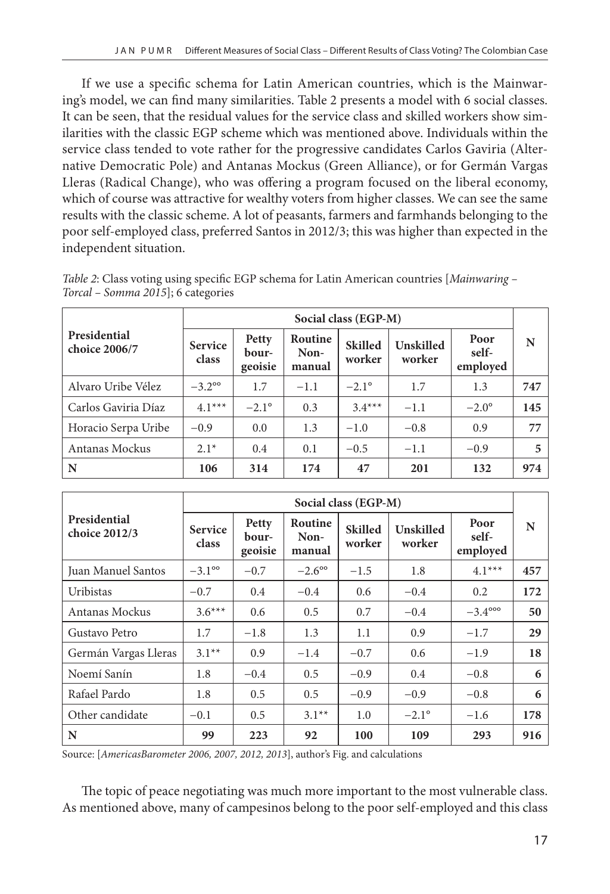If we use a specific schema for Latin American countries, which is the Mainwaring's model, we can find many similarities. Table 2 presents a model with 6 social classes. It can be seen, that the residual values for the service class and skilled workers show similarities with the classic EGP scheme which was mentioned above. Individuals within the service class tended to vote rather for the progressive candidates Carlos Gaviria (Alternative Democratic Pole) and Antanas Mockus (Green Alliance), or for Germán Vargas Lleras (Radical Change), who was offering a program focused on the liberal economy, which of course was attractive for wealthy voters from higher classes. We can see the same results with the classic scheme. A lot of peasants, farmers and farmhands belonging to the poor self-employed class, preferred Santos in 2012/3; this was higher than expected in the independent situation.

|                               | Social class (EGP-M)    |                           |                           |                          |                     |                           |     |
|-------------------------------|-------------------------|---------------------------|---------------------------|--------------------------|---------------------|---------------------------|-----|
| Presidential<br>choice 2006/7 | <b>Service</b><br>class | Petty<br>bour-<br>geoisie | Routine<br>Non-<br>manual | <b>Skilled</b><br>worker | Unskilled<br>worker | Poor<br>self-<br>employed | N   |
| Alvaro Uribe Vélez            | $-3.2^{\circ}$          | 1.7                       | $-1.1$                    | $-2.1^{\circ}$           | 1.7                 | 1.3                       | 747 |
| Carlos Gaviria Díaz           | $4.1***$                | $-2.1^{\circ}$            | 0.3                       | $3.4***$                 | $-1.1$              | $-2.0^\circ$              | 145 |
| Horacio Serpa Uribe           | $-0.9$                  | 0.0                       | 1.3                       | $-1.0$                   | $-0.8$              | 0.9                       | 77  |
| Antanas Mockus                | $2.1*$                  | 0.4                       | 0.1                       | $-0.5$                   | $-1.1$              | $-0.9$                    | 5   |
| $\mathbf N$                   | 106                     | 314                       | 174                       | 47                       | 201                 | 132                       | 974 |

*Table 2*: Class voting using specific EGP schema for Latin American countries [*Mainwaring – Torcal – Somma 2015*]; 6 categories

|                               |                         |                           |                           | Social class (EGP-M)     |                     |                           |     |
|-------------------------------|-------------------------|---------------------------|---------------------------|--------------------------|---------------------|---------------------------|-----|
| Presidential<br>choice 2012/3 | <b>Service</b><br>class | Petty<br>bour-<br>geoisie | Routine<br>Non-<br>manual | <b>Skilled</b><br>worker | Unskilled<br>worker | Poor<br>self-<br>employed | N   |
| Juan Manuel Santos            | $-3.1^{\circ}$          | $-0.7$                    | $-2.6^{\circ}$            | $-1.5$                   | 1.8                 | $4.1***$                  | 457 |
| Uribistas                     | $-0.7$                  | 0.4                       | $-0.4$                    | 0.6                      | $-0.4$              | 0.2                       | 172 |
| Antanas Mockus                | $3.6***$                | 0.6                       | 0.5                       | 0.7                      | $-0.4$              | $-3.4^{\circ\circ\circ}$  | 50  |
| Gustavo Petro                 | 1.7                     | $-1.8$                    | 1.3                       | 1.1                      | 0.9                 | $-1.7$                    | 29  |
| Germán Vargas Lleras          | $3.1**$                 | 0.9                       | $-1.4$                    | $-0.7$                   | 0.6                 | $-1.9$                    | 18  |
| Noemí Sanín                   | 1.8                     | $-0.4$                    | 0.5                       | $-0.9$                   | 0.4                 | $-0.8$                    | 6   |
| Rafael Pardo                  | 1.8                     | 0.5                       | 0.5                       | $-0.9$                   | $-0.9$              | $-0.8$                    | 6   |
| Other candidate               | $-0.1$                  | 0.5                       | $3.1**$                   | 1.0                      | $-2.1^{\circ}$      | $-1.6$                    | 178 |
| N                             | 99                      | 223                       | 92                        | 100                      | 109                 | 293                       | 916 |

Source: [*AmericasBarometer 2006, 2007, 2012, 2013*], author's Fig. and calculations

The topic of peace negotiating was much more important to the most vulnerable class. As mentioned above, many of campesinos belong to the poor self-employed and this class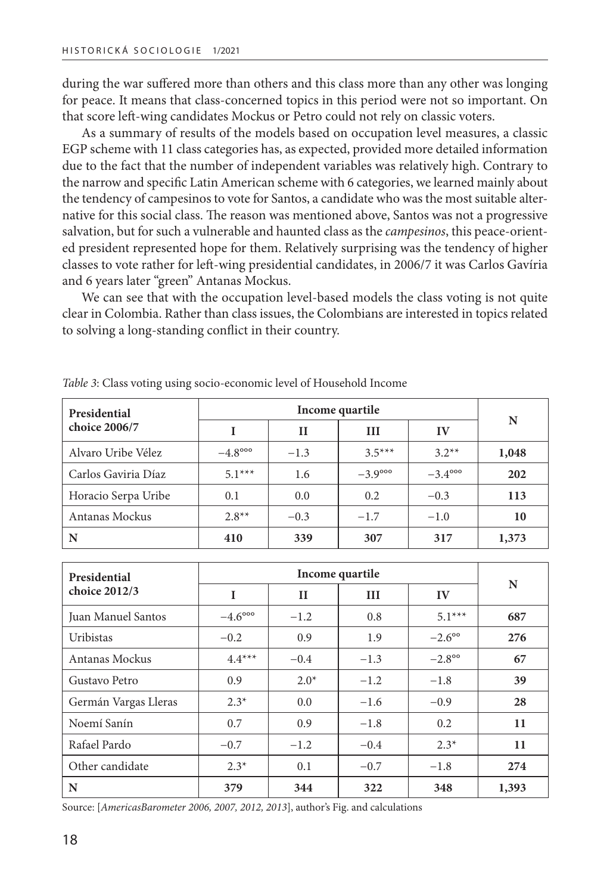during the war suffered more than others and this class more than any other was longing for peace. It means that class-concerned topics in this period were not so important. On that score left-wing candidates Mockus or Petro could not rely on classic voters.

As a summary of results of the models based on occupation level measures, a classic EGP scheme with 11 class categories has, as expected, provided more detailed information due to the fact that the number of independent variables was relatively high. Contrary to the narrow and specific Latin American scheme with 6 categories, we learned mainly about the tendency of campesinos to vote for Santos, a candidate who was the most suitable alternative for this social class. The reason was mentioned above, Santos was not a progressive salvation, but for such a vulnerable and haunted class as the *campesinos*, this peace-oriented president represented hope for them. Relatively surprising was the tendency of higher classes to vote rather for left-wing presidential candidates, in 2006/7 it was Carlos Gavíria and 6 years later "green" Antanas Mockus.

We can see that with the occupation level-based models the class voting is not quite clear in Colombia. Rather than class issues, the Colombians are interested in topics related to solving a long-standing conflict in their country.

| Presidential        |                          |        | Income quartile          |                          | N     |  |
|---------------------|--------------------------|--------|--------------------------|--------------------------|-------|--|
| choice 2006/7       | $\mathbf{H}$<br>Ш        |        | IV                       |                          |       |  |
| Alvaro Uribe Vélez  | $-4.8^{\circ\circ\circ}$ | $-1.3$ | $3.5***$                 | $3.2**$                  | 1,048 |  |
| Carlos Gaviria Díaz | $5.1***$                 | 1.6    | $-3.9^{\circ\circ\circ}$ | $-3.4^{\circ\circ\circ}$ | 202   |  |
| Horacio Serpa Uribe | 0.1                      | 0.0    | 0.2                      | $-0.3$                   | 113   |  |
| Antanas Mockus      | $2.8**$                  | $-0.3$ | $-1.7$                   | $-1.0$                   | 10    |  |
| N                   | 410                      | 339    | 307                      | 317                      | 1,373 |  |

*Table 3*: Class voting using socio-economic level of Household Income

| Presidential         |                          |         | Income quartile |                | N     |  |
|----------------------|--------------------------|---------|-----------------|----------------|-------|--|
| choice 2012/3        | I                        | $_{II}$ | III             | IV             |       |  |
| Juan Manuel Santos   | $-4.6^{\circ\circ\circ}$ | $-1.2$  | 0.8             | $5.1***$       | 687   |  |
| Uribistas            | $-0.2$                   | 0.9     | 1.9             | $-2.6^{\circ}$ | 276   |  |
| Antanas Mockus       | $4.4***$                 | $-0.4$  | $-1.3$          | $-2.8^{\circ}$ | 67    |  |
| Gustavo Petro        | 0.9                      | $2.0*$  | $-1.2$          | $-1.8$         | 39    |  |
| Germán Vargas Lleras | $2.3*$                   | 0.0     | $-1.6$          | $-0.9$         | 28    |  |
| Noemí Sanín          | 0.7                      | 0.9     | $-1.8$          | 0.2            | 11    |  |
| Rafael Pardo         | $-0.7$                   | $-1.2$  | $-0.4$          | $2.3*$         | 11    |  |
| Other candidate      | $2.3*$                   | 0.1     | $-0.7$          | $-1.8$         | 274   |  |
| N                    | 379                      | 344     | 322             | 348            | 1,393 |  |

Source: [*AmericasBarometer 2006, 2007, 2012, 2013*], author's Fig. and calculations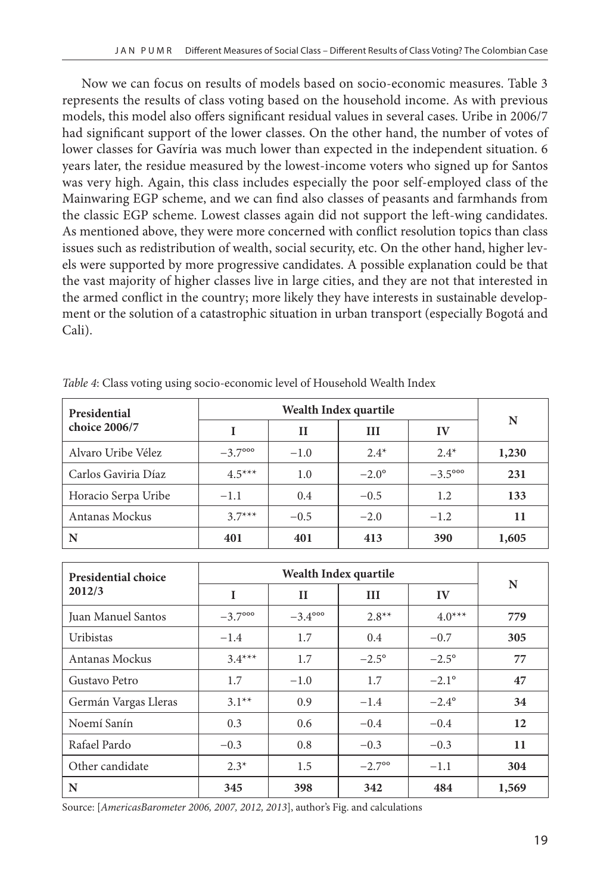Now we can focus on results of models based on socio-economic measures. Table 3 represents the results of class voting based on the household income. As with previous models, this model also offers significant residual values in several cases. Uribe in 2006/7 had significant support of the lower classes. On the other hand, the number of votes of lower classes for Gavíria was much lower than expected in the independent situation. 6 years later, the residue measured by the lowest-income voters who signed up for Santos was very high. Again, this class includes especially the poor self-employed class of the Mainwaring EGP scheme, and we can find also classes of peasants and farmhands from the classic EGP scheme. Lowest classes again did not support the left-wing candidates. As mentioned above, they were more concerned with conflict resolution topics than class issues such as redistribution of wealth, social security, etc. On the other hand, higher levels were supported by more progressive candidates. A possible explanation could be that the vast majority of higher classes live in large cities, and they are not that interested in the armed conflict in the country; more likely they have interests in sustainable development or the solution of a catastrophic situation in urban transport (especially Bogotá and Cali).

| Presidential        |                          |              | N            |                          |       |
|---------------------|--------------------------|--------------|--------------|--------------------------|-------|
| choice 2006/7       |                          | $\mathbf{H}$ | Ш            | IV                       |       |
| Alvaro Uribe Vélez  | $-3.7^{\circ\circ\circ}$ | $-1.0$       | $2.4*$       | $2.4*$                   | 1,230 |
| Carlos Gaviria Díaz | $4.5***$                 | 1.0          | $-2.0^\circ$ | $-3.5^{\circ\circ\circ}$ | 231   |
| Horacio Serpa Uribe | $-1.1$                   | 0.4          | $-0.5$       | 1.2                      | 133   |
| Antanas Mockus      | $3.7***$                 | $-0.5$       | $-2.0$       | $-1.2$                   | 11    |
| N                   | 401                      | 401          | 413          | 390                      | 1,605 |

*Table 4*: Class voting using socio-economic level of Household Wealth Index

| Presidential choice  |                          |                          | Wealth Index quartile |                | N     |  |
|----------------------|--------------------------|--------------------------|-----------------------|----------------|-------|--|
| 2012/3               | I                        | $_{II}$                  | Ш                     | IV             |       |  |
| Juan Manuel Santos   | $-3.7^{\circ\circ\circ}$ | $-3.4^{\circ\circ\circ}$ | $2.8**$               | $4.0***$       | 779   |  |
| Uribistas            | $-1.4$                   | 1.7                      | 0.4                   | $-0.7$         | 305   |  |
| Antanas Mockus       | $3.4***$                 | 1.7                      | $-2.5^{\circ}$        | $-2.5^{\circ}$ | 77    |  |
| Gustavo Petro        | 1.7                      | $-1.0$                   | 1.7                   | $-2.1^{\circ}$ | 47    |  |
| Germán Vargas Lleras | $3.1**$                  | 0.9                      | $-1.4$                | $-2.4^{\circ}$ | 34    |  |
| Noemí Sanín          | 0.3                      | 0.6                      | $-0.4$                | $-0.4$         | 12    |  |
| Rafael Pardo         | $-0.3$                   | 0.8                      | $-0.3$                | $-0.3$         | 11    |  |
| Other candidate      | $2.3*$                   | 1.5                      | $-2.7$ <sup>oo</sup>  | $-1.1$         | 304   |  |
| N                    | 345                      | 398                      | 342                   | 484            | 1,569 |  |

Source: [*AmericasBarometer 2006, 2007, 2012, 2013*], author's Fig. and calculations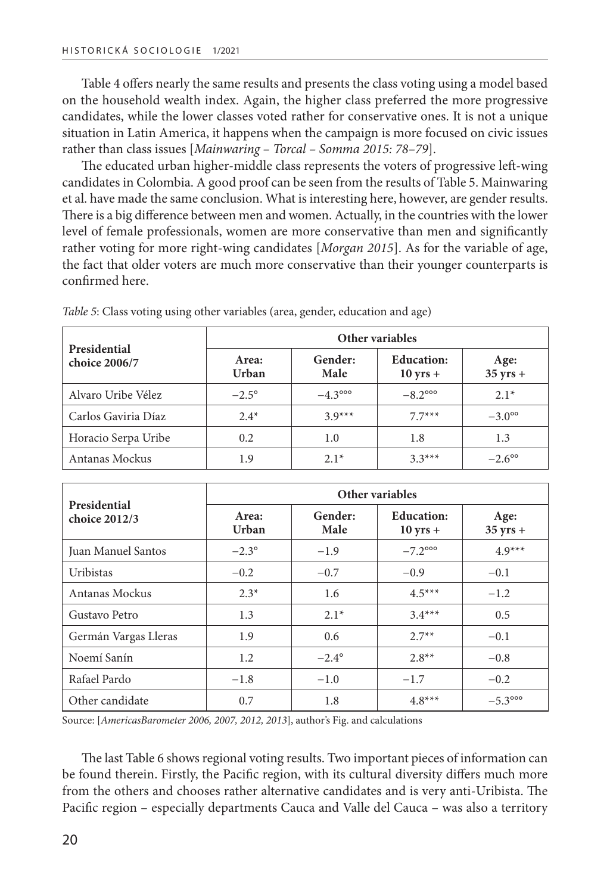Table 4 offers nearly the same results and presents the class voting using a model based on the household wealth index. Again, the higher class preferred the more progressive candidates, while the lower classes voted rather for conservative ones. It is not a unique situation in Latin America, it happens when the campaign is more focused on civic issues rather than class issues [*Mainwaring – Torcal – Somma 2015: 78–79*].

The educated urban higher-middle class represents the voters of progressive left-wing candidates in Colombia. A good proof can be seen from the results of Table 5. Mainwaring et al. have made the same conclusion. What is interesting here, however, are gender results. There is a big difference between men and women. Actually, in the countries with the lower level of female professionals, women are more conservative than men and significantly rather voting for more right-wing candidates [*Morgan 2015*]. As for the variable of age, the fact that older voters are much more conservative than their younger counterparts is confirmed here.

| Presidential        | Other variables |                          |                                 |                            |  |  |  |  |  |
|---------------------|-----------------|--------------------------|---------------------------------|----------------------------|--|--|--|--|--|
| choice 2006/7       | Area:<br>Urban  | Gender:<br>Male          | <b>Education:</b><br>$10$ yrs + | Age:<br>$35 \text{ yrs} +$ |  |  |  |  |  |
| Alvaro Uribe Vélez  | $-2.5^{\circ}$  | $-4.3^{\circ\circ\circ}$ | $-8.2^{\circ\circ\circ}$        | $2.1*$                     |  |  |  |  |  |
| Carlos Gaviria Díaz | $2.4*$          | $3.9***$                 | $77***$                         | $-3.0^{\circ}$             |  |  |  |  |  |
| Horacio Serpa Uribe | 0.2             | 1.0                      | 1.8                             | 1.3                        |  |  |  |  |  |
| Antanas Mockus      | 1.9             | $2.1*$                   | $3.3***$                        | $-2.6^{\circ}$             |  |  |  |  |  |

*Table 5*: Class voting using other variables (area, gender, education and age)

| Presidential         |                | Other variables |                                         |                            |  |  |  |  |  |  |
|----------------------|----------------|-----------------|-----------------------------------------|----------------------------|--|--|--|--|--|--|
| choice 2012/3        | Area:<br>Urban | Gender:<br>Male | <b>Education:</b><br>$10 \text{ yrs} +$ | Age:<br>$35 \text{ yrs} +$ |  |  |  |  |  |  |
| Juan Manuel Santos   | $-2.3^{\circ}$ | $-1.9$          | $-7.2^{\circ\circ\circ}$                | $4.9***$                   |  |  |  |  |  |  |
| <b>Uribistas</b>     | $-0.2$         | $-0.7$          | $-0.9$                                  | $-0.1$                     |  |  |  |  |  |  |
| Antanas Mockus       | $2.3*$         | 1.6             | $4.5***$                                | $-1.2$                     |  |  |  |  |  |  |
| Gustavo Petro        | 1.3            | $2.1*$          | $3.4***$                                | 0.5                        |  |  |  |  |  |  |
| Germán Vargas Lleras | 1.9            | 0.6             | $2.7**$                                 | $-0.1$                     |  |  |  |  |  |  |
| Noemí Sanín          | 1.2            | $-2.4^{\circ}$  | $2.8**$                                 | $-0.8$                     |  |  |  |  |  |  |
| Rafael Pardo         | $-1.8$         | $-1.0$          | $-1.7$                                  | $-0.2$                     |  |  |  |  |  |  |
| Other candidate      | 0.7            | 1.8             | $4.8***$                                | $-5.3^{\circ\circ\circ}$   |  |  |  |  |  |  |

Source: [*AmericasBarometer 2006, 2007, 2012, 2013*], author's Fig. and calculations

The last Table 6 shows regional voting results. Two important pieces of information can be found therein. Firstly, the Pacific region, with its cultural diversity differs much more from the others and chooses rather alternative candidates and is very anti-Uribista. The Pacific region – especially departments Cauca and Valle del Cauca – was also a territory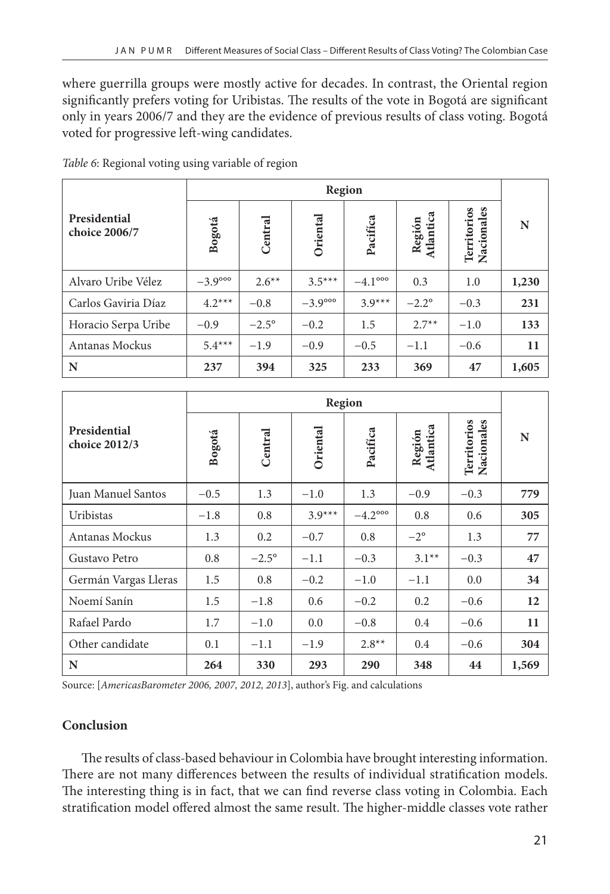where guerrilla groups were mostly active for decades. In contrast, the Oriental region significantly prefers voting for Uribistas. The results of the vote in Bogotá are significant only in years 2006/7 and they are the evidence of previous results of class voting. Bogotá voted for progressive left-wing candidates.

|                               |                          |              |                          | Region                   |                     |                               |       |
|-------------------------------|--------------------------|--------------|--------------------------|--------------------------|---------------------|-------------------------------|-------|
| Presidential<br>choice 2006/7 | Bogotá                   | Central      | Oriental                 | Pacifica                 | Atlantica<br>Región | es<br>Territorios<br>Nacional | N     |
| Alvaro Uribe Vélez            | $-3.9^{\circ\circ\circ}$ | $2.6***$     | $3.5***$                 | $-4.1^{\circ\circ\circ}$ | 0.3                 | 1.0                           | 1,230 |
| Carlos Gaviria Díaz           | $4.2***$                 | $-0.8$       | $-3.9^{\circ\circ\circ}$ | $3.9***$                 | $-2.2^{\circ}$      | $-0.3$                        | 231   |
| Horacio Serpa Uribe           | $-0.9$                   | $-2.5^\circ$ | $-0.2$                   | 1.5                      | $2.7**$             | $-1.0$                        | 133   |
| Antanas Mockus                | $5.4***$                 | $-1.9$       | $-0.9$                   | $-0.5$                   | $-1.1$              | $-0.6$                        | 11    |
| N                             | 237                      | 394          | 325                      | 233                      | 369                 | 47                            | 1,605 |

*Table 6*: Regional voting using variable of region

|                               |        |              |          | Region                   |                     |                           |       |
|-------------------------------|--------|--------------|----------|--------------------------|---------------------|---------------------------|-------|
| Presidential<br>choice 2012/3 | Bogotá | Central      | Oriental | Pacifica                 | Atlantica<br>Región | Territorios<br>Nacionales | N     |
| Juan Manuel Santos            | $-0.5$ | 1.3          | $-1.0$   | 1.3                      | $-0.9$              | $-0.3$                    | 779   |
| Uribistas                     | $-1.8$ | 0.8          | $3.9***$ | $-4.2^{\circ\circ\circ}$ | 0.8                 | 0.6                       | 305   |
| Antanas Mockus                | 1.3    | 0.2          | $-0.7$   | 0.8                      | $-2^{\circ}$        | 1.3                       | 77    |
| Gustavo Petro                 | 0.8    | $-2.5^\circ$ | $-1.1$   | $-0.3$                   | $3.1**$             | $-0.3$                    | 47    |
| Germán Vargas Lleras          | 1.5    | 0.8          | $-0.2$   | $-1.0$                   | $-1.1$              | 0.0                       | 34    |
| Noemí Sanín                   | 1.5    | $-1.8$       | 0.6      | $-0.2$                   | 0.2                 | $-0.6$                    | 12    |
| Rafael Pardo                  | 1.7    | $-1.0$       | 0.0      | $-0.8$                   | 0.4                 | $-0.6$                    | 11    |
| Other candidate               | 0.1    | $-1.1$       | $-1.9$   | $2.8**$                  | 0.4                 | $-0.6$                    | 304   |
| N                             | 264    | 330          | 293      | 290                      | 348                 | 44                        | 1,569 |

Source: [*AmericasBarometer 2006, 2007, 2012, 2013*], author's Fig. and calculations

# **Conclusion**

The results of class-based behaviour in Colombia have brought interesting information. There are not many differences between the results of individual stratification models. The interesting thing is in fact, that we can find reverse class voting in Colombia. Each stratification model offered almost the same result. The higher-middle classes vote rather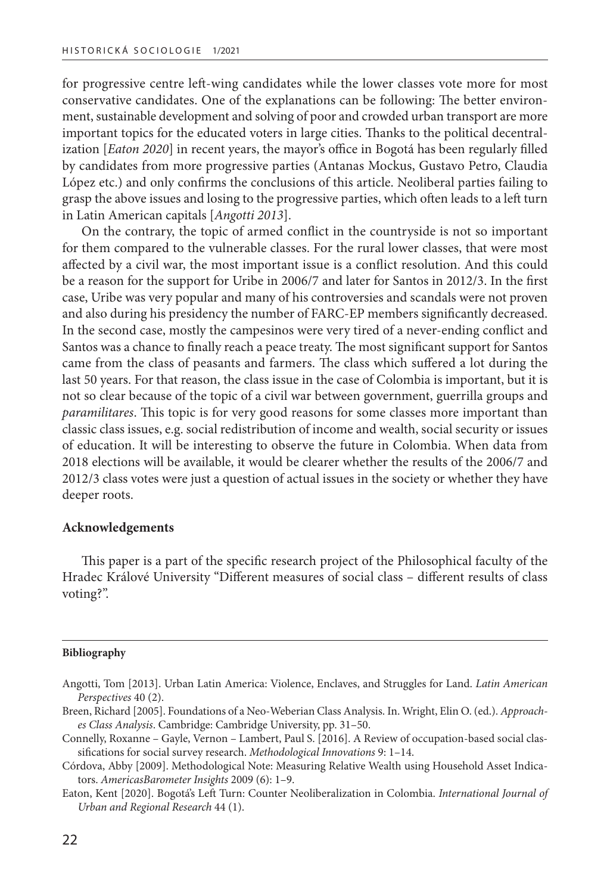for progressive centre left-wing candidates while the lower classes vote more for most conservative candidates. One of the explanations can be following: The better environment, sustainable development and solving of poor and crowded urban transport are more important topics for the educated voters in large cities. Thanks to the political decentralization [*Eaton 2020*] in recent years, the mayor's office in Bogotá has been regularly filled by candidates from more progressive parties (Antanas Mockus, Gustavo Petro, Claudia López etc.) and only confirms the conclusions of this article. Neoliberal parties failing to grasp the above issues and losing to the progressive parties, which often leads to a left turn in Latin American capitals [*Angotti 2013*].

On the contrary, the topic of armed conflict in the countryside is not so important for them compared to the vulnerable classes. For the rural lower classes, that were most affected by a civil war, the most important issue is a conflict resolution. And this could be a reason for the support for Uribe in 2006/7 and later for Santos in 2012/3. In the first case, Uribe was very popular and many of his controversies and scandals were not proven and also during his presidency the number of FARC-EP members significantly decreased. In the second case, mostly the campesinos were very tired of a never-ending conflict and Santos was a chance to finally reach a peace treaty. The most significant support for Santos came from the class of peasants and farmers. The class which suffered a lot during the last 50 years. For that reason, the class issue in the case of Colombia is important, but it is not so clear because of the topic of a civil war between government, guerrilla groups and *paramilitares*. This topic is for very good reasons for some classes more important than classic class issues, e.g. social redistribution of income and wealth, social security or issues of education. It will be interesting to observe the future in Colombia. When data from 2018 elections will be available, it would be clearer whether the results of the 2006/7 and 2012/3 class votes were just a question of actual issues in the society or whether they have deeper roots.

#### **Acknowledgements**

This paper is a part of the specific research project of the Philosophical faculty of the Hradec Králové University "Different measures of social class – different results of class voting?".

#### **Bibliography**

Angotti, Tom [2013]. Urban Latin America: Violence, Enclaves, and Struggles for Land. *Latin American Perspectives* 40 (2).

Breen, Richard [2005]. Foundations of a Neo-Weberian Class Analysis. In. Wright, Elin O. (ed.). *Approaches Class Analysis*. Cambridge: Cambridge University, pp. 31–50.

Connelly, Roxanne – Gayle, Vernon – Lambert, Paul S. [2016]. A Review of occupation-based social classifications for social survey research. *Methodological Innovations* 9: 1–14.

Córdova, Abby [2009]. Methodological Note: Measuring Relative Wealth using Household Asset Indicators. *AmericasBarometer Insights* 2009 (6): 1–9.

Eaton, Kent [2020]. Bogotá's Left Turn: Counter Neoliberalization in Colombia. *International Journal of Urban and Regional Research* 44 (1).